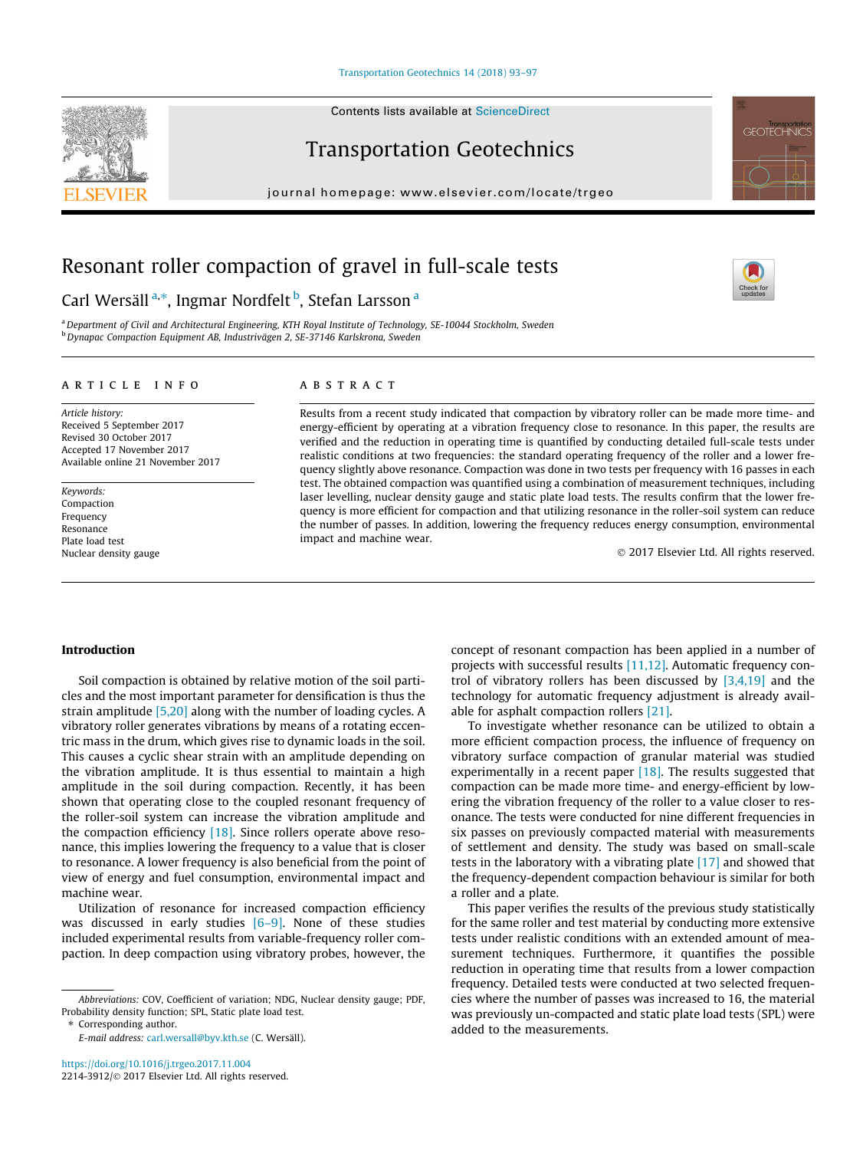## [Transportation Geotechnics 14 \(2018\) 93–97](https://doi.org/10.1016/j.trgeo.2017.11.004)

## Transportation Geotechnics

journal homepage: [www.elsevier.com/locate/trgeo](http://www.elsevier.com/locate/trgeo)

# Resonant roller compaction of gravel in full-scale tests

## Carl Wersäll<sup>a,</sup>\*, Ingmar Nordfelt <sup>b</sup>, Stefan Larsson <sup>a</sup>

a Department of Civil and Architectural Engineering, KTH Royal Institute of Technology, SE-10044 Stockholm, Sweden b Dynapac Compaction Equipment AB, Industrivägen 2, SE-37146 Karlskrona, Sweden

## article info

Article history: Received 5 September 2017 Revised 30 October 2017 Accepted 17 November 2017 Available online 21 November 2017

Keywords: Compaction Frequency Resonance Plate load test Nuclear density gauge

## **ABSTRACT**

Results from a recent study indicated that compaction by vibratory roller can be made more time- and energy-efficient by operating at a vibration frequency close to resonance. In this paper, the results are verified and the reduction in operating time is quantified by conducting detailed full-scale tests under realistic conditions at two frequencies: the standard operating frequency of the roller and a lower frequency slightly above resonance. Compaction was done in two tests per frequency with 16 passes in each test. The obtained compaction was quantified using a combination of measurement techniques, including laser levelling, nuclear density gauge and static plate load tests. The results confirm that the lower frequency is more efficient for compaction and that utilizing resonance in the roller-soil system can reduce the number of passes. In addition, lowering the frequency reduces energy consumption, environmental impact and machine wear.

2017 Elsevier Ltd. All rights reserved.

### Introduction

Soil compaction is obtained by relative motion of the soil particles and the most important parameter for densification is thus the strain amplitude [\[5,20\]](#page-4-0) along with the number of loading cycles. A vibratory roller generates vibrations by means of a rotating eccentric mass in the drum, which gives rise to dynamic loads in the soil. This causes a cyclic shear strain with an amplitude depending on the vibration amplitude. It is thus essential to maintain a high amplitude in the soil during compaction. Recently, it has been shown that operating close to the coupled resonant frequency of the roller-soil system can increase the vibration amplitude and the compaction efficiency [\[18\].](#page-4-0) Since rollers operate above resonance, this implies lowering the frequency to a value that is closer to resonance. A lower frequency is also beneficial from the point of view of energy and fuel consumption, environmental impact and machine wear.

Utilization of resonance for increased compaction efficiency was discussed in early studies [6-9]. None of these studies included experimental results from variable-frequency roller compaction. In deep compaction using vibratory probes, however, the

⇑ Corresponding author.

E-mail address: [carl.wersall@byv.kth.se](mailto:carl.wersall@byv.kth.se) (C. Wersäll).

concept of resonant compaction has been applied in a number of projects with successful results [\[11,12\]](#page-4-0). Automatic frequency control of vibratory rollers has been discussed by  $[3,4,19]$  and the technology for automatic frequency adjustment is already available for asphalt compaction rollers [\[21\]](#page-4-0).

To investigate whether resonance can be utilized to obtain a more efficient compaction process, the influence of frequency on vibratory surface compaction of granular material was studied experimentally in a recent paper [\[18\]](#page-4-0). The results suggested that compaction can be made more time- and energy-efficient by lowering the vibration frequency of the roller to a value closer to resonance. The tests were conducted for nine different frequencies in six passes on previously compacted material with measurements of settlement and density. The study was based on small-scale tests in the laboratory with a vibrating plate [\[17\]](#page-4-0) and showed that the frequency-dependent compaction behaviour is similar for both a roller and a plate.

This paper verifies the results of the previous study statistically for the same roller and test material by conducting more extensive tests under realistic conditions with an extended amount of measurement techniques. Furthermore, it quantifies the possible reduction in operating time that results from a lower compaction frequency. Detailed tests were conducted at two selected frequencies where the number of passes was increased to 16, the material was previously un-compacted and static plate load tests (SPL) were added to the measurements.







Abbreviations: COV, Coefficient of variation; NDG, Nuclear density gauge; PDF, Probability density function; SPL, Static plate load test.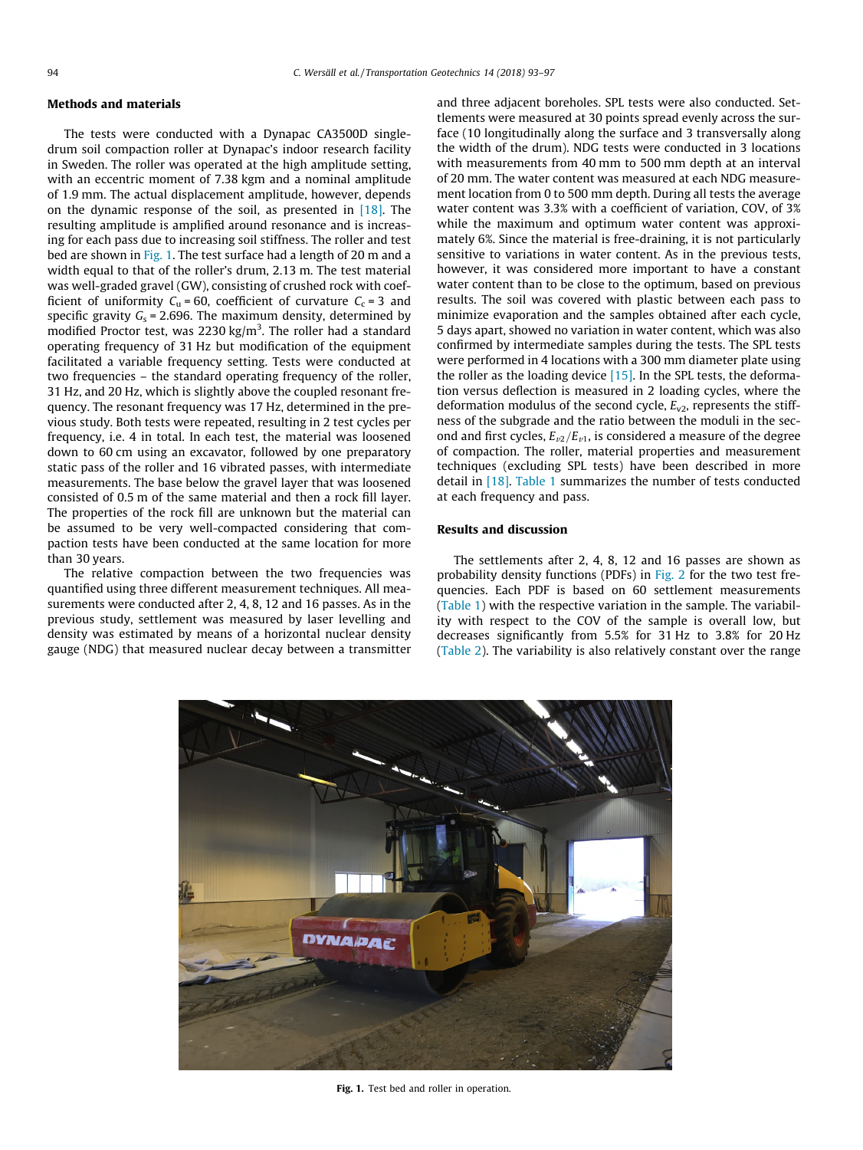## Methods and materials

The tests were conducted with a Dynapac CA3500D singledrum soil compaction roller at Dynapac's indoor research facility in Sweden. The roller was operated at the high amplitude setting, with an eccentric moment of 7.38 kgm and a nominal amplitude of 1.9 mm. The actual displacement amplitude, however, depends on the dynamic response of the soil, as presented in  $[18]$ . The resulting amplitude is amplified around resonance and is increasing for each pass due to increasing soil stiffness. The roller and test bed are shown in Fig. 1. The test surface had a length of 20 m and a width equal to that of the roller's drum, 2.13 m. The test material was well-graded gravel (GW), consisting of crushed rock with coefficient of uniformity  $C_u = 60$ , coefficient of curvature  $C_c = 3$  and specific gravity  $G_s = 2.696$ . The maximum density, determined by modified Proctor test, was 2230 kg/m<sup>3</sup>. The roller had a standard operating frequency of 31 Hz but modification of the equipment facilitated a variable frequency setting. Tests were conducted at two frequencies – the standard operating frequency of the roller, 31 Hz, and 20 Hz, which is slightly above the coupled resonant frequency. The resonant frequency was 17 Hz, determined in the previous study. Both tests were repeated, resulting in 2 test cycles per frequency, i.e. 4 in total. In each test, the material was loosened down to 60 cm using an excavator, followed by one preparatory static pass of the roller and 16 vibrated passes, with intermediate measurements. The base below the gravel layer that was loosened consisted of 0.5 m of the same material and then a rock fill layer. The properties of the rock fill are unknown but the material can be assumed to be very well-compacted considering that compaction tests have been conducted at the same location for more than 30 years.

The relative compaction between the two frequencies was quantified using three different measurement techniques. All measurements were conducted after 2, 4, 8, 12 and 16 passes. As in the previous study, settlement was measured by laser levelling and density was estimated by means of a horizontal nuclear density gauge (NDG) that measured nuclear decay between a transmitter and three adjacent boreholes. SPL tests were also conducted. Settlements were measured at 30 points spread evenly across the surface (10 longitudinally along the surface and 3 transversally along the width of the drum). NDG tests were conducted in 3 locations with measurements from 40 mm to 500 mm depth at an interval of 20 mm. The water content was measured at each NDG measurement location from 0 to 500 mm depth. During all tests the average water content was 3.3% with a coefficient of variation, COV, of 3% while the maximum and optimum water content was approximately 6%. Since the material is free-draining, it is not particularly sensitive to variations in water content. As in the previous tests, however, it was considered more important to have a constant water content than to be close to the optimum, based on previous results. The soil was covered with plastic between each pass to minimize evaporation and the samples obtained after each cycle, 5 days apart, showed no variation in water content, which was also confirmed by intermediate samples during the tests. The SPL tests were performed in 4 locations with a 300 mm diameter plate using the roller as the loading device  $[15]$ . In the SPL tests, the deformation versus deflection is measured in 2 loading cycles, where the deformation modulus of the second cycle,  $E_{v2}$ , represents the stiffness of the subgrade and the ratio between the moduli in the second and first cycles,  $E_{v2}/E_{v1}$ , is considered a measure of the degree of compaction. The roller, material properties and measurement techniques (excluding SPL tests) have been described in more detail in [\[18\]](#page-4-0). [Table 1](#page-2-0) summarizes the number of tests conducted at each frequency and pass.

## Results and discussion

The settlements after 2, 4, 8, 12 and 16 passes are shown as probability density functions (PDFs) in [Fig. 2](#page-2-0) for the two test frequencies. Each PDF is based on 60 settlement measurements ([Table 1](#page-2-0)) with the respective variation in the sample. The variability with respect to the COV of the sample is overall low, but decreases significantly from 5.5% for 31 Hz to 3.8% for 20 Hz ([Table 2\)](#page-2-0). The variability is also relatively constant over the range



Fig. 1. Test bed and roller in operation.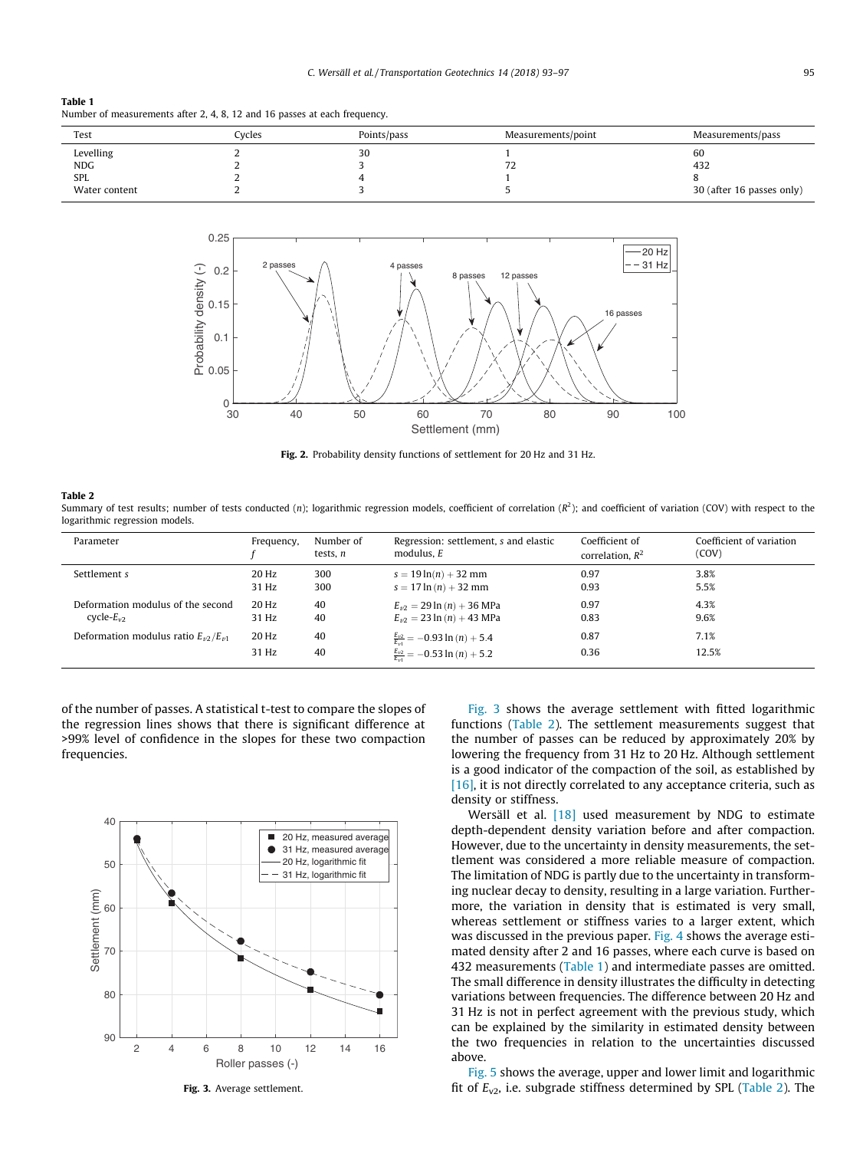#### <span id="page-2-0"></span>Table 1 Number of measurements after 2, 4, 8, 12 and 16 passes at each frequency.

| Test          | Cycles | Points/pass | Measurements/point             | Measurements/pass         |
|---------------|--------|-------------|--------------------------------|---------------------------|
| Levelling     |        | 30          |                                | 60                        |
| NDG           |        |             | $\overline{\phantom{a}}$<br>12 | 432                       |
| <b>SPL</b>    |        |             |                                |                           |
| Water content |        |             |                                | 30 (after 16 passes only) |



Fig. 2. Probability density functions of settlement for 20 Hz and 31 Hz.

#### Table 2

Summary of test results; number of tests conducted (n); logarithmic regression models, coefficient of correlation ( $R^2$ ); and coefficient of variation (COV) with respect to the logarithmic regression models.

| Parameter                                       | Frequency, | Number of<br>tests. n | Regression: settlement, s and elastic<br>modulus. $E$ | Coefficient of<br>correlation, $R^2$ | Coefficient of variation<br>(COV) |
|-------------------------------------------------|------------|-----------------------|-------------------------------------------------------|--------------------------------------|-----------------------------------|
| Settlement s                                    | 20 Hz      | 300                   | $s = 19 \ln(n) + 32 \text{ mm}$                       | 0.97                                 | 3.8%                              |
|                                                 | 31 Hz      | 300                   | $s = 17 \ln(n) + 32 \text{ mm}$                       | 0.93                                 | 5.5%                              |
| Deformation modulus of the second               | 20 Hz      | 40                    | $E_{\nu 2} = 29 \ln{(n)} + 36 \text{ MPa}$            | 0.97                                 | 4.3%                              |
| cycle- $E_{v2}$                                 | 31 Hz      | 40                    | $E_{n2} = 23 \ln(n) + 43 \text{ MPa}$                 | 0.83                                 | 9.6%                              |
| Deformation modulus ratio $E_{\nu 2}/E_{\nu 1}$ | 20 Hz      | 40                    | $\frac{E_{\nu2}}{E_{\nu1}}$ = -0.93 ln (n) + 5.4      | 0.87                                 | 7.1%                              |
|                                                 | 31 Hz      | 40                    | $\frac{E_{v2}}{E_{v3}}$ = -0.53 ln (n) + 5.2          | 0.36                                 | 12.5%                             |

of the number of passes. A statistical t-test to compare the slopes of the regression lines shows that there is significant difference at >99% level of confidence in the slopes for these two compaction frequencies.



Fig. 3. Average settlement.

Fig. 3 shows the average settlement with fitted logarithmic functions (Table 2). The settlement measurements suggest that the number of passes can be reduced by approximately 20% by lowering the frequency from 31 Hz to 20 Hz. Although settlement is a good indicator of the compaction of the soil, as established by  $[16]$ , it is not directly correlated to any acceptance criteria, such as density or stiffness.

Wersäll et al. <a>[\[18\]](#page-4-0)</a> used measurement by NDG to estimate depth-dependent density variation before and after compaction. However, due to the uncertainty in density measurements, the settlement was considered a more reliable measure of compaction. The limitation of NDG is partly due to the uncertainty in transforming nuclear decay to density, resulting in a large variation. Furthermore, the variation in density that is estimated is very small, whereas settlement or stiffness varies to a larger extent, which was discussed in the previous paper. [Fig. 4](#page-3-0) shows the average estimated density after 2 and 16 passes, where each curve is based on 432 measurements (Table 1) and intermediate passes are omitted. The small difference in density illustrates the difficulty in detecting variations between frequencies. The difference between 20 Hz and 31 Hz is not in perfect agreement with the previous study, which can be explained by the similarity in estimated density between the two frequencies in relation to the uncertainties discussed above.

[Fig. 5](#page-3-0) shows the average, upper and lower limit and logarithmic fit of  $E_{v2}$ , i.e. subgrade stiffness determined by SPL (Table 2). The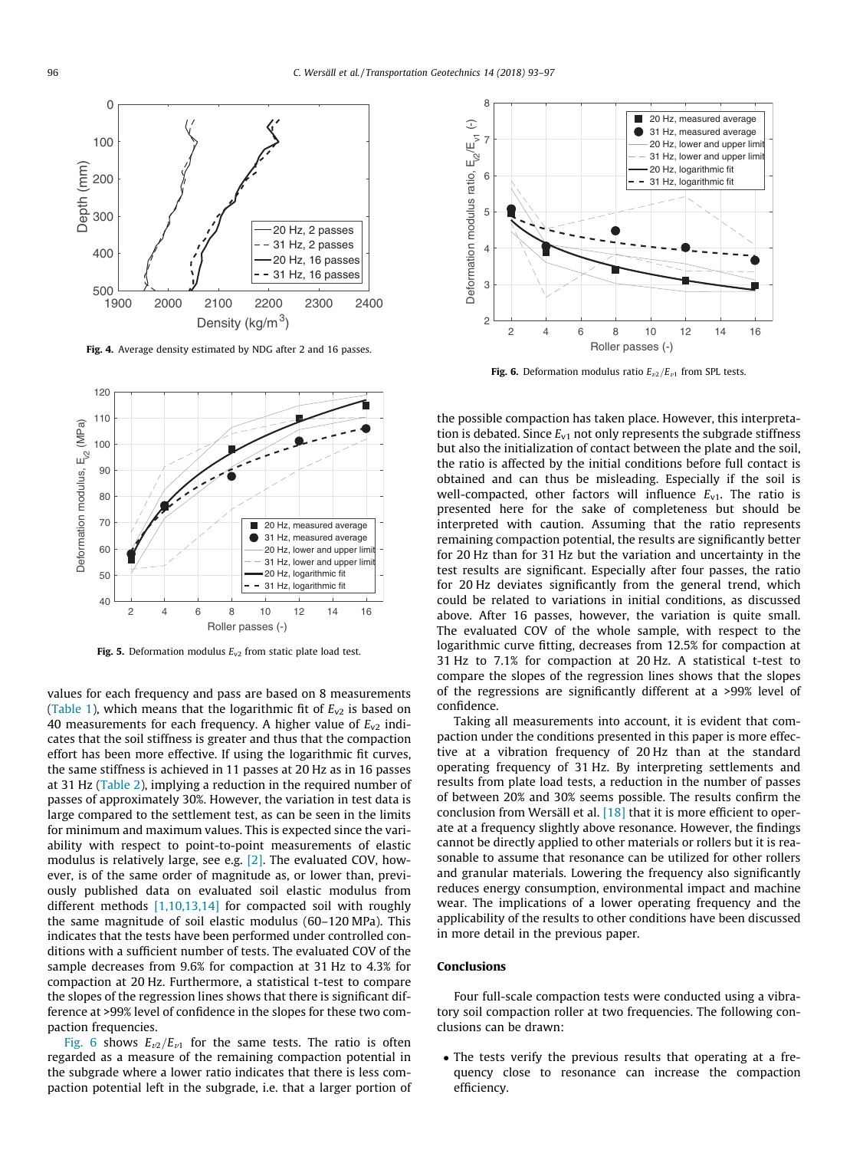<span id="page-3-0"></span>

Fig. 4. Average density estimated by NDG after 2 and 16 passes.



Fig. 5. Deformation modulus  $E_{v2}$  from static plate load test.

values for each frequency and pass are based on 8 measurements ([Table 1\)](#page-2-0), which means that the logarithmic fit of  $E_{v2}$  is based on 40 measurements for each frequency. A higher value of  $E_{v2}$  indicates that the soil stiffness is greater and thus that the compaction effort has been more effective. If using the logarithmic fit curves, the same stiffness is achieved in 11 passes at 20 Hz as in 16 passes at 31 Hz ([Table 2](#page-2-0)), implying a reduction in the required number of passes of approximately 30%. However, the variation in test data is large compared to the settlement test, as can be seen in the limits for minimum and maximum values. This is expected since the variability with respect to point-to-point measurements of elastic modulus is relatively large, see e.g. [\[2\]](#page-4-0). The evaluated COV, however, is of the same order of magnitude as, or lower than, previously published data on evaluated soil elastic modulus from different methods [\[1,10,13,14\]](#page-4-0) for compacted soil with roughly the same magnitude of soil elastic modulus (60–120 MPa). This indicates that the tests have been performed under controlled conditions with a sufficient number of tests. The evaluated COV of the sample decreases from 9.6% for compaction at 31 Hz to 4.3% for compaction at 20 Hz. Furthermore, a statistical t-test to compare the slopes of the regression lines shows that there is significant difference at >99% level of confidence in the slopes for these two compaction frequencies.

Fig. 6 shows  $E_{\nu 2}/E_{\nu 1}$  for the same tests. The ratio is often regarded as a measure of the remaining compaction potential in the subgrade where a lower ratio indicates that there is less compaction potential left in the subgrade, i.e. that a larger portion of



**Fig. 6.** Deformation modulus ratio  $E_{v2}/E_{v1}$  from SPL tests.

the possible compaction has taken place. However, this interpretation is debated. Since  $E_{v1}$  not only represents the subgrade stiffness but also the initialization of contact between the plate and the soil, the ratio is affected by the initial conditions before full contact is obtained and can thus be misleading. Especially if the soil is well-compacted, other factors will influence  $E_{v1}$ . The ratio is presented here for the sake of completeness but should be interpreted with caution. Assuming that the ratio represents remaining compaction potential, the results are significantly better for 20 Hz than for 31 Hz but the variation and uncertainty in the test results are significant. Especially after four passes, the ratio for 20 Hz deviates significantly from the general trend, which could be related to variations in initial conditions, as discussed above. After 16 passes, however, the variation is quite small. The evaluated COV of the whole sample, with respect to the logarithmic curve fitting, decreases from 12.5% for compaction at 31 Hz to 7.1% for compaction at 20 Hz. A statistical t-test to compare the slopes of the regression lines shows that the slopes of the regressions are significantly different at a >99% level of confidence.

Taking all measurements into account, it is evident that compaction under the conditions presented in this paper is more effective at a vibration frequency of 20 Hz than at the standard operating frequency of 31 Hz. By interpreting settlements and results from plate load tests, a reduction in the number of passes of between 20% and 30% seems possible. The results confirm the conclusion from Wersäll et al. [\[18\]](#page-4-0) that it is more efficient to operate at a frequency slightly above resonance. However, the findings cannot be directly applied to other materials or rollers but it is reasonable to assume that resonance can be utilized for other rollers and granular materials. Lowering the frequency also significantly reduces energy consumption, environmental impact and machine wear. The implications of a lower operating frequency and the applicability of the results to other conditions have been discussed in more detail in the previous paper.

## Conclusions

Four full-scale compaction tests were conducted using a vibratory soil compaction roller at two frequencies. The following conclusions can be drawn:

• The tests verify the previous results that operating at a frequency close to resonance can increase the compaction efficiency.